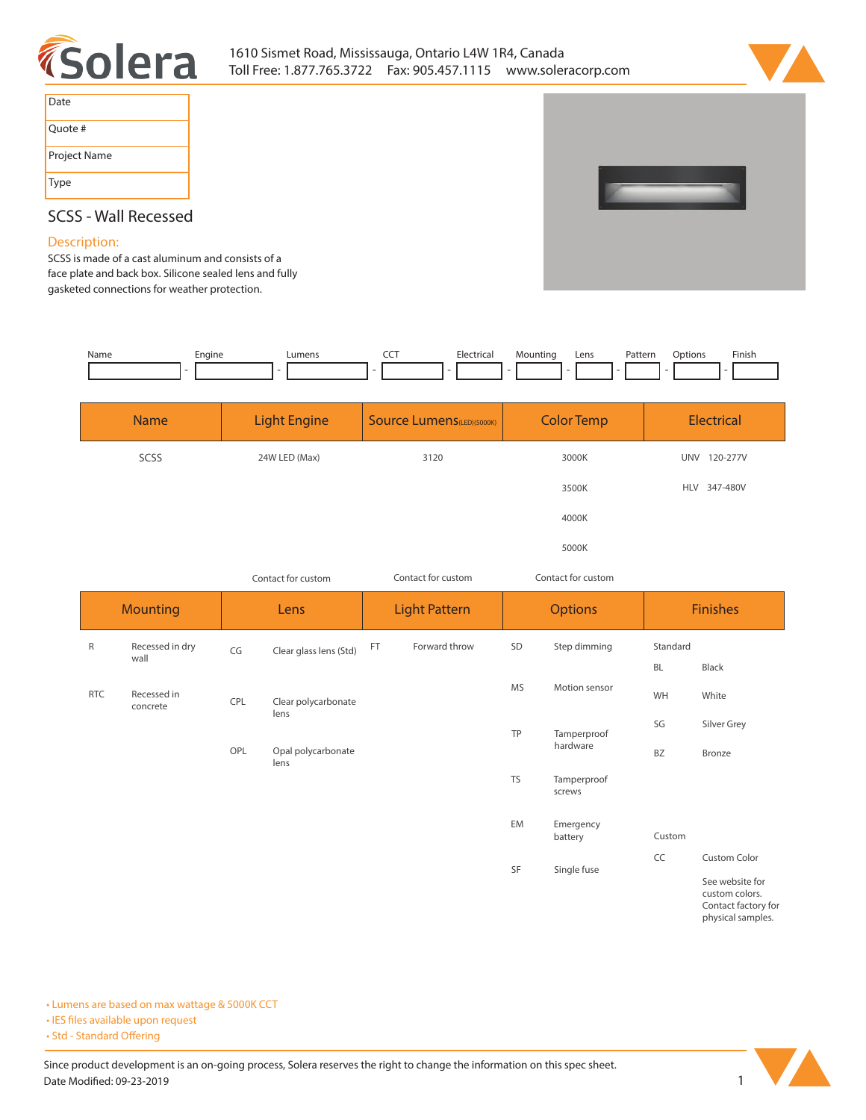



| Date         |
|--------------|
| Quote #      |
| Project Name |
| Type         |



## **SCSS - Wall Recessed**

## **Description:**

**SCSS is made of a cast aluminum and consists of a face plate and back box. Silicone sealed lens and fully gasketed connections for weather protection.** 

| Name | Engine | umens | --- | clectric: | Mountina | Lens | Pattern | otion | Finish |
|------|--------|-------|-----|-----------|----------|------|---------|-------|--------|
|      |        |       |     |           |          |      |         |       |        |

| <b>Name</b> | <b>Light Engine</b> | <b>Source Lumens (LED)(5000K)</b> | <b>Color Temp</b> | Electrical             |
|-------------|---------------------|-----------------------------------|-------------------|------------------------|
| SCSS        | 24W LED (Max)       | 3120                              | 3000K             | 120-277V<br><b>UNV</b> |
|             |                     |                                   | 3500K             | HLV 347-480V           |
|             |                     |                                   | 4000K             |                        |
|             |                     |                                   | 5000K             |                        |

| Contact for custom |                         |      |                                                | Contact for custom   | Contact for custom |                |                       |                 |                                                    |
|--------------------|-------------------------|------|------------------------------------------------|----------------------|--------------------|----------------|-----------------------|-----------------|----------------------------------------------------|
| <b>Mounting</b>    |                         | Lens |                                                | <b>Light Pattern</b> |                    | <b>Options</b> |                       | <b>Finishes</b> |                                                    |
| R                  | Recessed in dry<br>wall | CG   | Clear glass lens (Std)                         | FT                   | Forward throw      | SD             | Step dimming          | Standard        |                                                    |
| <b>RTC</b>         | Recessed in<br>concrete | CPL  | <b>MS</b><br>Clear polycarbonate<br>lens<br>TP | Motion sensor        | <b>BL</b><br>WH    | Black<br>White |                       |                 |                                                    |
|                    |                         |      |                                                |                      |                    |                | Tamperproof           | SG              | Silver Grey                                        |
|                    |                         | OPL  | Opal polycarbonate<br>lens                     |                      |                    |                | hardware              | BZ              | Bronze                                             |
|                    |                         |      |                                                |                      |                    | <b>TS</b>      | Tamperproof<br>screws |                 |                                                    |
|                    |                         |      |                                                |                      |                    | EM             | Emergency<br>battery  | Custom          |                                                    |
|                    |                         |      |                                                |                      |                    | SF             | Single fuse           | CC              | <b>Custom Color</b><br>$\sim$ $\sim$ $\sim$ $\sim$ |

**See website for custom colors. Contact factory for physical samples.** 

**• Lumens are based on max wattage & 5000K CCT**

**• IES files available upon request** 

• Std - Standard Offering